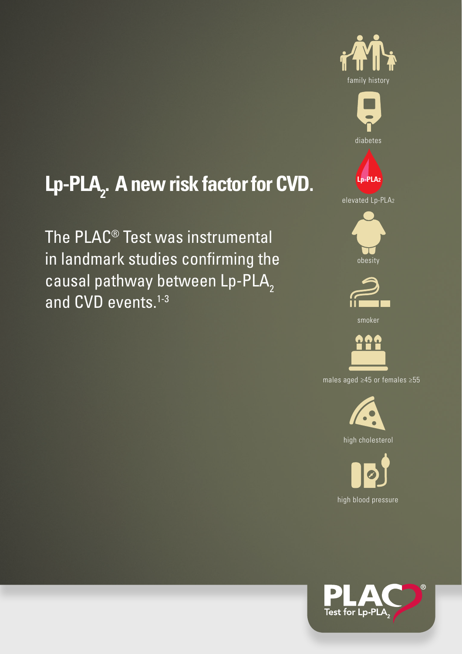



# Lp-PLA<sub>2</sub>. A new risk factor for CVD.

The PLAC® Test was instrumental in landmark studies confirming the causal pathway between Lp-PLA<sub>2</sub> and CVD events.<sup>1-3</sup>





males aged ≥45 or females ≥55



high cholesterol



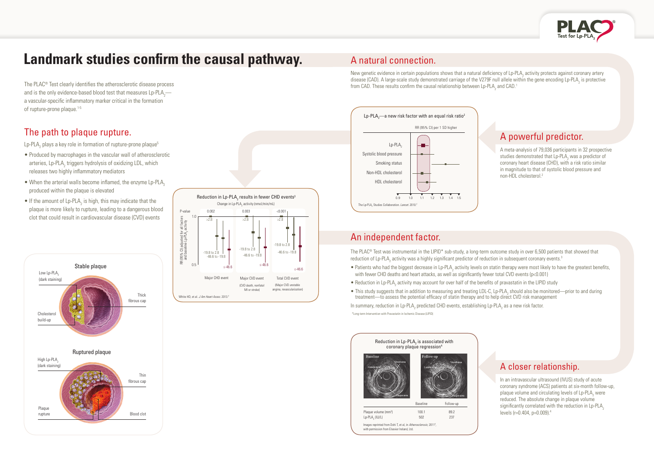#### The path to plaque rupture.

Lp-PLA<sub>2</sub> plays a key role in formation of rupture-prone plaque<sup>5</sup>

- Produced by macrophages in the vascular wall of atherosclerotic arteries, Lp-PLA<sub>2</sub> triggers hydrolysis of oxidizing LDL, which releases two highly inflammatory mediators
- $\bullet$  When the arterial walls become inflamed, the enzyme Lp-PLA<sub>2</sub> produced within the plaque is elevated
- $\bullet$  If the amount of Lp-PLA<sub>2</sub> is high, this may indicate that the plaque is more likely to rupture, leading to a dangerous blood clot that could result in cardiovascular disease (CVD) events



In an intravascular ultrasound (IVUS) study of acute coronary syndrome (ACS) patients at six-month follow-up, plaque volume and circulating levels of  $\text{Lp-PLA}_2$  were reduced. The absolute change in plaque volume significantly correlated with the reduction in  $L_p$ -PLA<sub>2</sub>



## **Landmark studies confirm the causal pathway.**

The PLAC® Test clearly identifies the atherosclerotic disease process and is the only evidence-based blood test that measures Lp-PLA $_{\rm 2}$  a vascular-specific inflammatory marker critical in the formation of rupture-prone plaque.<sup>1-5</sup>

## A powerful predictor.

A meta-analysis of 79,036 participants in 32 prospective studies demonstrated that  $\textsf{Lp-PLA}_2$  was a predictor of coronary heart disease (CHD), with a risk ratio similar in magnitude to that of systolic blood pressure and non-HDL cholesterol.2

## A closer relationship.

• This study suggests that in addition to measuring and treating LDL-C, Lp-PLA<sub>2</sub> should also be monitored—prior to and during treatment—to assess the potential efficacy of statin therapy and to help direct CVD risk management

In summary, reduction in Lp-PLA<sub>2</sub> predicted CHD events, establishing Lp-PLA<sub>2</sub> as a new risk factor.









#### A natural connection.

New genetic evidence in certain populations shows that a natural deficiency of Lp-PLA<sub>2</sub> activity protects against coronary artery disease (CAD). A large-scale study demonstrated carriage of the V279F null allele within the gene encoding Lp-PLA<sub>2</sub> is protective from CAD. These results confirm the causal relationship between Lp-PLA<sub>2</sub> and CAD.<sup>1</sup>

#### An independent factor.

The PLAC<sup>®</sup> Test was instrumental in the LIPID<sup>\*</sup> sub-study, a long-term outcome study in over 6,500 patients that showed that reduction of Lp-PLA<sub>2</sub> activity was a highly significant predictor of reduction in subsequent coronary events.<sup>3</sup>

- $\bullet$  Patients who had the biggest decrease in Lp-PLA<sub>2</sub> activity levels on statin therapy were most likely to have the greatest benefits, with fewer CHD deaths and heart attacks, as well as significantly fewer total CVD events ( $p<0.001$ )
- $\bullet$  Reduction in Lp-PLA<sub>2</sub> activity may account for over half of the benefits of pravastatin in the LIPID study

\*Long-term Intervention with Pravastatin in Ischemic Disease (LIPID)